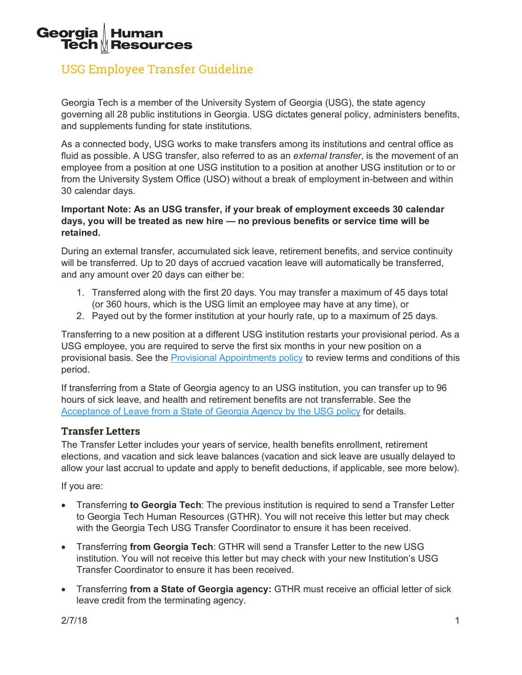#### Georgia **Human Tech MResources**

# USG Employee Transfer Guideline

Georgia Tech is a member of the University System of Georgia (USG), the state agency governing all 28 public institutions in Georgia. USG dictates general policy, administers benefits, and supplements funding for state institutions.

As a connected body, USG works to make transfers among its institutions and central office as fluid as possible. A USG transfer, also referred to as an *external transfer*, is the movement of an employee from a position at one USG institution to a position at another USG institution or to or from the University System Office (USO) without a break of employment in-between and within 30 calendar days.

### **Important Note: As an USG transfer, if your break of employment exceeds 30 calendar days, you will be treated as new hire — no previous benefits or service time will be retained.**

During an external transfer, accumulated sick leave, retirement benefits, and service continuity will be transferred. Up to 20 days of accrued vacation leave will automatically be transferred, and any amount over 20 days can either be:

- 1. Transferred along with the first 20 days. You may transfer a maximum of 45 days total (or 360 hours, which is the USG limit an employee may have at any time), or
- 2. Payed out by the former institution at your hourly rate, up to a maximum of 25 days.

Transferring to a new position at a different USG institution restarts your provisional period. As a USG employee, you are required to serve the first six months in your new position on a provisional basis. See the Provisional Appointments policy to review terms and conditions of this period.

If transferring from a State of Georgia agency to an USG institution, you can transfer up to 96 hours of sick leave, and health and retirement benefits are not transferrable. See the Acceptance of Leave from a State of Georgia Agency by the USG policy for details.

# **Transfer Letters**

The Transfer Letter includes your years of service, health benefits enrollment, retirement elections, and vacation and sick leave balances (vacation and sick leave are usually delayed to allow your last accrual to update and apply to benefit deductions, if applicable, see more below).

If you are:

- Transferring **to Georgia Tech**: The previous institution is required to send a Transfer Letter to Georgia Tech Human Resources (GTHR). You will not receive this letter but may check with the Georgia Tech USG Transfer Coordinator to ensure it has been received.
- Transferring **from Georgia Tech**: GTHR will send a Transfer Letter to the new USG institution. You will not receive this letter but may check with your new Institution's USG Transfer Coordinator to ensure it has been received.
- Transferring **from a State of Georgia agency:** GTHR must receive an official letter of sick leave credit from the terminating agency.